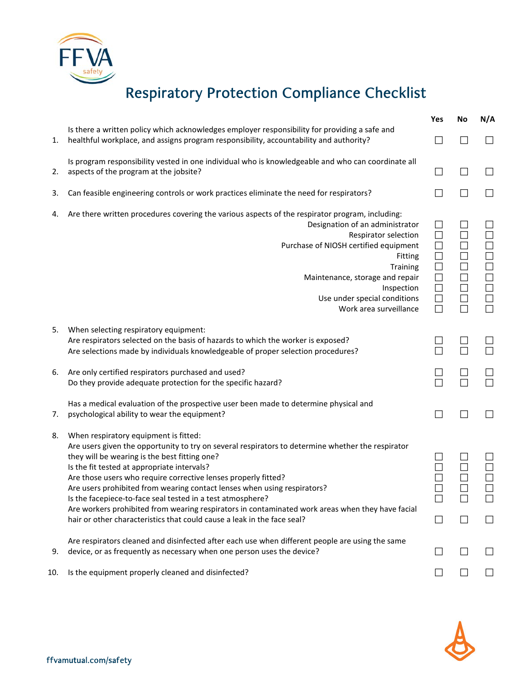## Respiratory Protection Compliance Checklist

|     |                                                                                                                                                                                                                                                                                                                                                                                                                                                                                                                                                                                                                                       | Yes                        | No | N/A    |
|-----|---------------------------------------------------------------------------------------------------------------------------------------------------------------------------------------------------------------------------------------------------------------------------------------------------------------------------------------------------------------------------------------------------------------------------------------------------------------------------------------------------------------------------------------------------------------------------------------------------------------------------------------|----------------------------|----|--------|
| 1.  | Is there a written policy which acknowledges employer responsibility for providing a safe and<br>healthful workplace, and assigns program responsibility, accountability and authority?                                                                                                                                                                                                                                                                                                                                                                                                                                               |                            |    |        |
| 2.  | Is program responsibility vested in one individual who is knowledgeable and who can coordinate all<br>aspects of the program at the jobsite?                                                                                                                                                                                                                                                                                                                                                                                                                                                                                          |                            |    |        |
| 3.  | Can feasible engineering controls or work practices eliminate the need for respirators?                                                                                                                                                                                                                                                                                                                                                                                                                                                                                                                                               |                            |    |        |
| 4.  | Are there written procedures covering the various aspects of the respirator program, including:<br>Designation of an administrator<br>Respirator selection<br>Purchase of NIOSH certified equipment<br>Fitting<br><b>Training</b><br>Maintenance, storage and repair<br>Inspection<br>Use under special conditions<br>Work area surveillance                                                                                                                                                                                                                                                                                          | $\Box$<br>$\Box$<br>$\Box$ |    | 000000 |
| 5.  | When selecting respiratory equipment:<br>Are respirators selected on the basis of hazards to which the worker is exposed?<br>Are selections made by individuals knowledgeable of proper selection procedures?                                                                                                                                                                                                                                                                                                                                                                                                                         | П                          |    |        |
| 6.  | Are only certified respirators purchased and used?<br>Do they provide adequate protection for the specific hazard?                                                                                                                                                                                                                                                                                                                                                                                                                                                                                                                    |                            |    |        |
| 7.  | Has a medical evaluation of the prospective user been made to determine physical and<br>psychological ability to wear the equipment?                                                                                                                                                                                                                                                                                                                                                                                                                                                                                                  | $\Box$                     |    |        |
| 8.  | When respiratory equipment is fitted:<br>Are users given the opportunity to try on several respirators to determine whether the respirator<br>they will be wearing is the best fitting one?<br>Is the fit tested at appropriate intervals?<br>Are those users who require corrective lenses properly fitted?<br>Are users prohibited from wearing contact lenses when using respirators?<br>Is the facepiece-to-face seal tested in a test atmosphere?<br>Are workers prohibited from wearing respirators in contaminated work areas when they have facial<br>hair or other characteristics that could cause a leak in the face seal? |                            |    |        |
| 9.  | Are respirators cleaned and disinfected after each use when different people are using the same<br>device, or as frequently as necessary when one person uses the device?                                                                                                                                                                                                                                                                                                                                                                                                                                                             |                            |    |        |
| 10. | Is the equipment properly cleaned and disinfected?                                                                                                                                                                                                                                                                                                                                                                                                                                                                                                                                                                                    |                            |    |        |